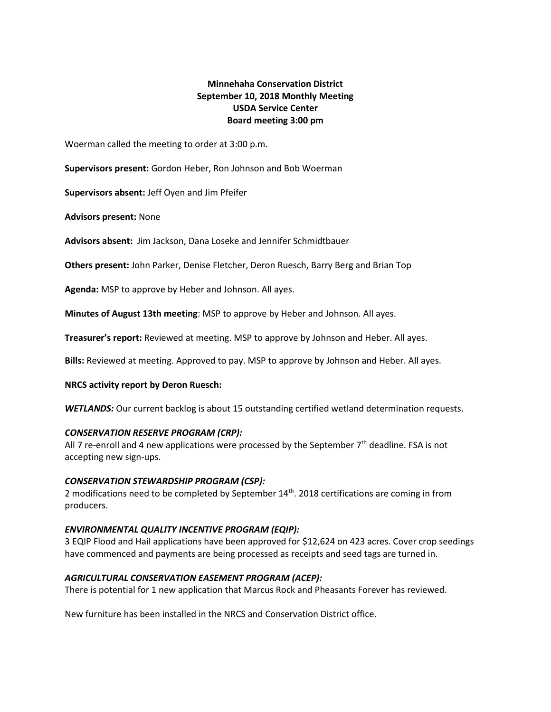# **Minnehaha Conservation District September 10, 2018 Monthly Meeting USDA Service Center Board meeting 3:00 pm**

Woerman called the meeting to order at 3:00 p.m.

**Supervisors present:** Gordon Heber, Ron Johnson and Bob Woerman

**Supervisors absent:** Jeff Oyen and Jim Pfeifer

**Advisors present:** None

**Advisors absent:** Jim Jackson, Dana Loseke and Jennifer Schmidtbauer

**Others present:** John Parker, Denise Fletcher, Deron Ruesch, Barry Berg and Brian Top

**Agenda:** MSP to approve by Heber and Johnson. All ayes.

**Minutes of August 13th meeting**: MSP to approve by Heber and Johnson. All ayes.

**Treasurer's report:** Reviewed at meeting. MSP to approve by Johnson and Heber. All ayes.

**Bills:** Reviewed at meeting. Approved to pay. MSP to approve by Johnson and Heber. All ayes.

### **NRCS activity report by Deron Ruesch:**

WETLANDS: Our current backlog is about 15 outstanding certified wetland determination requests.

### *CONSERVATION RESERVE PROGRAM (CRP):*

All 7 re-enroll and 4 new applications were processed by the September  $7<sup>th</sup>$  deadline. FSA is not accepting new sign-ups.

### *CONSERVATION STEWARDSHIP PROGRAM (CSP):*

2 modifications need to be completed by September 14<sup>th</sup>. 2018 certifications are coming in from producers.

# *ENVIRONMENTAL QUALITY INCENTIVE PROGRAM (EQIP):*

3 EQIP Flood and Hail applications have been approved for \$12,624 on 423 acres. Cover crop seedings have commenced and payments are being processed as receipts and seed tags are turned in.

# *AGRICULTURAL CONSERVATION EASEMENT PROGRAM (ACEP):*

There is potential for 1 new application that Marcus Rock and Pheasants Forever has reviewed.

New furniture has been installed in the NRCS and Conservation District office.